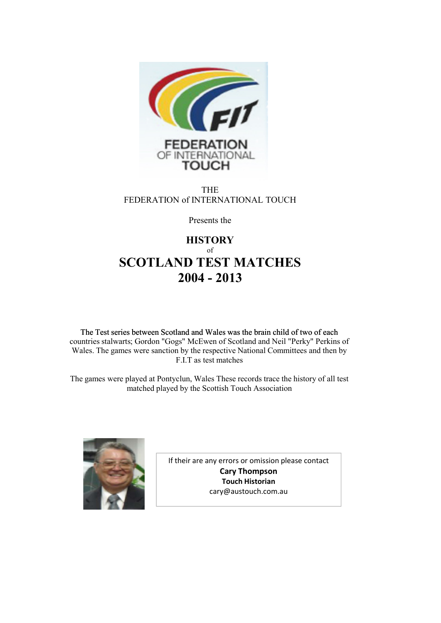

THE FEDERATION of INTERNATIONAL TOUCH

Presents the

### **HISTORY** of **SCOTLAND TEST MATCHES 2004 - 2013**

The Test series between Scotland and Wales was the brain child of two of each Wales. The games were sanction by the respective National Committees and then by F.I.T as test matches countries stalwarts; Gordon "Gogs" McEwen of Scotland and Neil "Perky" Perkins of

The games were played at Pontyclun, Wales These records trace the history of all test matched played by the Scottish Touch Association



If their are any errors or omission please contact **Cary Thompson Touch Historian** cary@austouch.com.au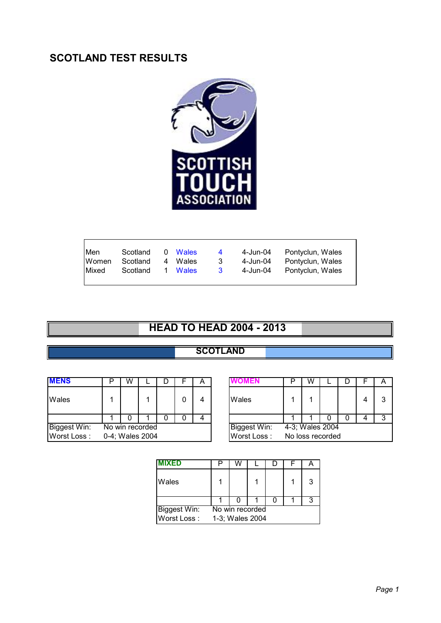## **SCOTLAND TEST RESULTS**



| Men           | Scotland | 0 Wales | $\overline{4}$ | 4-Jun-04 | Pontyclun, Wales |
|---------------|----------|---------|----------------|----------|------------------|
| Women         | Scotland | 4 Wales | -3             | 4-Jun-04 | Pontyclun, Wales |
| <b>IMixed</b> | Scotland | 1 Wales | $\mathbf{3}$   | 4-Jun-04 | Pontyclun, Wales |
|               |          |         |                |          |                  |

# **HEAD TO HEAD 2004 - 2013**

#### **SCOTLAND**

| <b>MENS</b>  | W |                 |  | А |              |                           | W                |  | A |
|--------------|---|-----------------|--|---|--------------|---------------------------|------------------|--|---|
| Wales        |   |                 |  | 4 | Wales        |                           |                  |  | 3 |
|              |   |                 |  | 4 |              |                           |                  |  | 3 |
| Biggest Win: |   | No win recorded |  |   | Biggest Win: | $\sqrt{4-3}$ ; Wales 2004 |                  |  |   |
| Worst Loss:  |   | 0-4; Wales 2004 |  |   | Worst Loss:  |                           | No loss recorded |  |   |

| n. | W |                |  | A |                     | W                |  |   |
|----|---|----------------|--|---|---------------------|------------------|--|---|
| 1  |   |                |  |   | Wales               |                  |  | 2 |
|    |   |                |  |   |                     |                  |  | າ |
|    |   | o win recorded |  |   | <b>Biggest Win:</b> | 4-3; Wales 2004  |  |   |
|    |   | 4; Wales 2004  |  |   | Worst Loss:         | No loss recorded |  |   |

| <b>MIXED</b>        |                 |  |                 |  |  | A |
|---------------------|-----------------|--|-----------------|--|--|---|
| Wales               |                 |  |                 |  |  | 3 |
|                     |                 |  |                 |  |  |   |
| <b>Biggest Win:</b> |                 |  | No win recorded |  |  |   |
| Worst Loss:         | 1-3; Wales 2004 |  |                 |  |  |   |